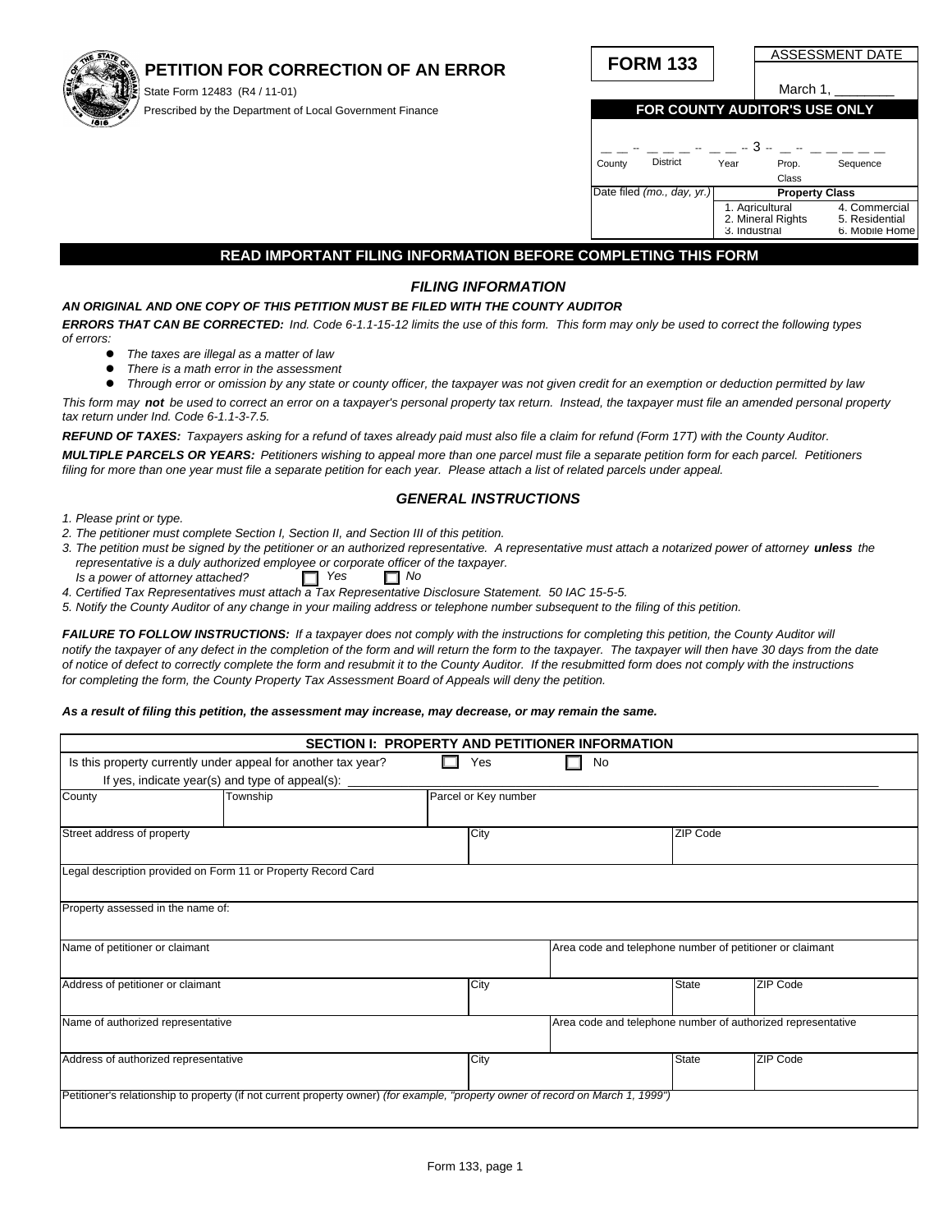# **PETITION FOR CORRECTION OF AN ERROR**



**FORM 133**

ASSESSMENT DATE

| March 1 |
|---------|
|         |

| FOR COUNTY AUDITOR'S USE ONLY |                                                       |                                                   |  |
|-------------------------------|-------------------------------------------------------|---------------------------------------------------|--|
|                               |                                                       |                                                   |  |
| <b>District</b><br>County     | Year<br>Prop.                                         | Sequence                                          |  |
|                               | Class                                                 |                                                   |  |
| Date filed (mo., day, yr.)    | <b>Property Class</b>                                 |                                                   |  |
|                               | 1. Agricultural<br>2. Mineral Rights<br>3. Industrial | 4. Commercial<br>5. Residential<br>6. Mobile Home |  |

## **READ IMPORTANT FILING INFORMATION BEFORE COMPLETING THIS FORM**

# *FILING INFORMATION*

## *AN ORIGINAL AND ONE COPY OF THIS PETITION MUST BE FILED WITH THE COUNTY AUDITOR*

*ERRORS THAT CAN BE CORRECTED: Ind. Code 6-1.1-15-12 limits the use of this form. This form may only be used to correct the following types of errors:*

- l *The taxes are illegal as a matter of law*
- l *There is a math error in the assessment*
- l *Through error or omission by any state or county officer, the taxpayer was not given credit for an exemption or deduction permitted by law*

*This form may not be used to correct an error on a taxpayer's personal property tax return. Instead, the taxpayer must file an amended personal property tax return under Ind. Code 6-1.1-3-7.5.*

*REFUND OF TAXES: Taxpayers asking for a refund of taxes already paid must also file a claim for refund (Form 17T) with the County Auditor. MULTIPLE PARCELS OR YEARS: Petitioners wishing to appeal more than one parcel must file a separate petition form for each parcel. Petitioners*

*filing for more than one year must file a separate petition for each year. Please attach a list of related parcels under appeal.* 

### *GENERAL INSTRUCTIONS*

- *1. Please print or type.*
- *2. The petitioner must complete Section I, Section II, and Section III of this petition.*
- 3. The petition must be signed by the petitioner or an authorized representative. A representative must attach a notarized power of attorney *unless* the *representative is a duly authorized employee or corporate officer of the taxpayer.*<br>Is a power of attorney attached?<br>
Ses and No
	- *Is a power of attorney attached?**Yes No*
- *4. Certified Tax Representatives must attach a Tax Representative Disclosure Statement. 50 IAC 15-5-5.*
- *5. Notify the County Auditor of any change in your mailing address or telephone number subsequent to the filing of this petition.*

**FAILURE TO FOLLOW INSTRUCTIONS:** If a taxpayer does not comply with the instructions for completing this petition, the County Auditor will *notify the taxpayer of any defect in the completion of the form and will return the form to the taxpayer. The taxpayer will then have 30 days from the date of notice of defect to correctly complete the form and resubmit it to the County Auditor. If the resubmitted form does not comply with the instructions for completing the form, the County Property Tax Assessment Board of Appeals will deny the petition.*

#### *As a result of filing this petition, the assessment may increase, may decrease, or may remain the same.*

|                                      |                                                                                                                                  |                      | SECTION I: PROPERTY AND PETITIONER INFORMATION |              |                                                             |  |
|--------------------------------------|----------------------------------------------------------------------------------------------------------------------------------|----------------------|------------------------------------------------|--------------|-------------------------------------------------------------|--|
|                                      | Is this property currently under appeal for another tax year?                                                                    | Yes                  | No                                             |              |                                                             |  |
|                                      | If yes, indicate year(s) and type of appeal(s):                                                                                  |                      |                                                |              |                                                             |  |
| County                               | Township                                                                                                                         | Parcel or Key number |                                                |              |                                                             |  |
| Street address of property           |                                                                                                                                  | City                 |                                                | ZIP Code     |                                                             |  |
|                                      | Legal description provided on Form 11 or Property Record Card                                                                    |                      |                                                |              |                                                             |  |
| Property assessed in the name of:    |                                                                                                                                  |                      |                                                |              |                                                             |  |
| Name of petitioner or claimant       |                                                                                                                                  |                      |                                                |              | Area code and telephone number of petitioner or claimant    |  |
| Address of petitioner or claimant    |                                                                                                                                  | City                 |                                                | <b>State</b> | ZIP Code                                                    |  |
| Name of authorized representative    |                                                                                                                                  |                      |                                                |              | Area code and telephone number of authorized representative |  |
| Address of authorized representative |                                                                                                                                  | City                 |                                                | <b>State</b> | ZIP Code                                                    |  |
|                                      | Petitioner's relationship to property (if not current property owner) (for example, "property owner of record on March 1, 1999") |                      |                                                |              |                                                             |  |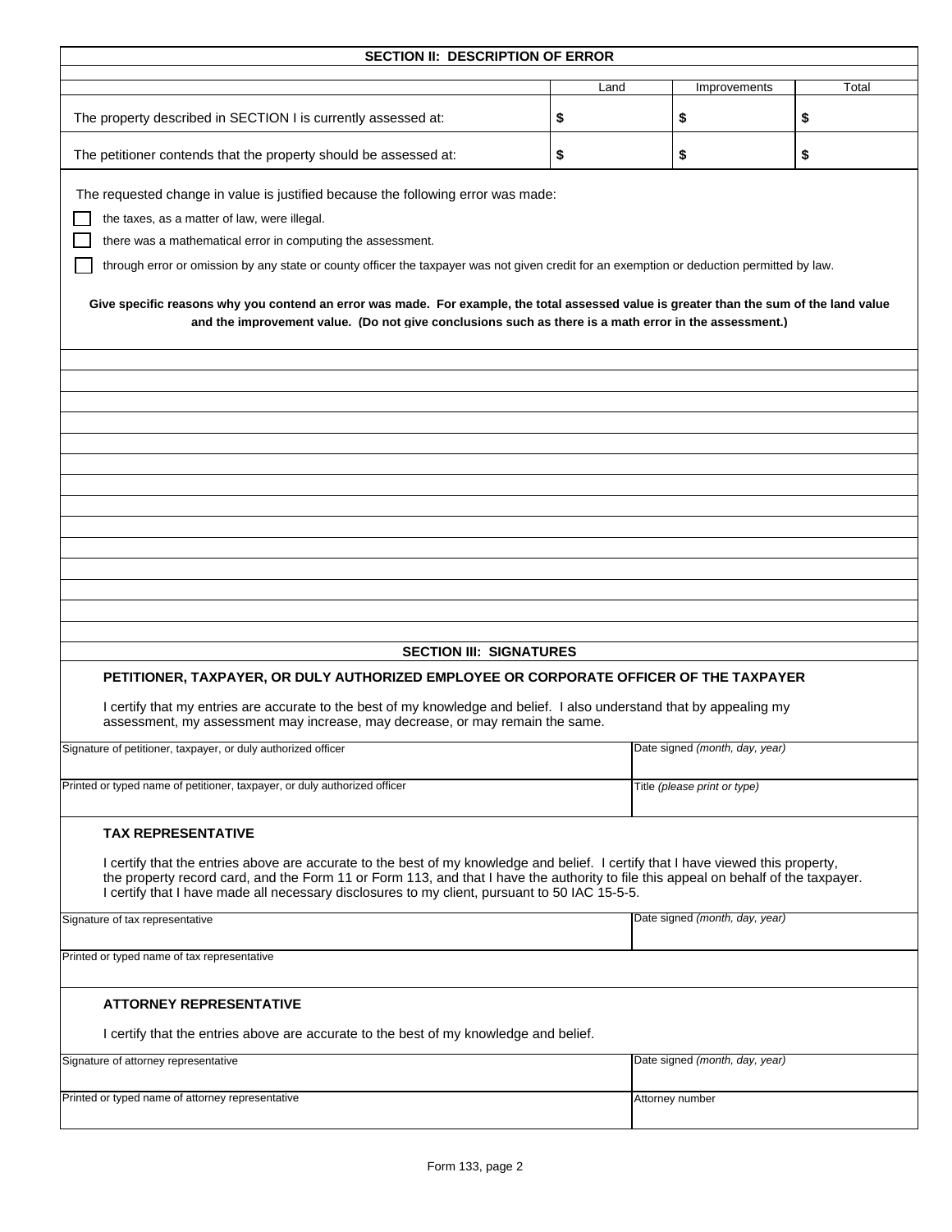| <b>SECTION II: DESCRIPTION OF ERROR</b>                                                                                                                                                                                                                                                                                                                                   |      |                                |       |
|---------------------------------------------------------------------------------------------------------------------------------------------------------------------------------------------------------------------------------------------------------------------------------------------------------------------------------------------------------------------------|------|--------------------------------|-------|
|                                                                                                                                                                                                                                                                                                                                                                           | Land | Improvements                   | Total |
| The property described in SECTION I is currently assessed at:                                                                                                                                                                                                                                                                                                             | \$   | \$                             | \$    |
| The petitioner contends that the property should be assessed at:                                                                                                                                                                                                                                                                                                          | \$   | \$                             | \$    |
| The requested change in value is justified because the following error was made:<br>the taxes, as a matter of law, were illegal.<br>there was a mathematical error in computing the assessment.<br>through error or omission by any state or county officer the taxpayer was not given credit for an exemption or deduction permitted by law.                             |      |                                |       |
| Give specific reasons why you contend an error was made. For example, the total assessed value is greater than the sum of the land value<br>and the improvement value. (Do not give conclusions such as there is a math error in the assessment.)                                                                                                                         |      |                                |       |
|                                                                                                                                                                                                                                                                                                                                                                           |      |                                |       |
|                                                                                                                                                                                                                                                                                                                                                                           |      |                                |       |
|                                                                                                                                                                                                                                                                                                                                                                           |      |                                |       |
|                                                                                                                                                                                                                                                                                                                                                                           |      |                                |       |
|                                                                                                                                                                                                                                                                                                                                                                           |      |                                |       |
|                                                                                                                                                                                                                                                                                                                                                                           |      |                                |       |
|                                                                                                                                                                                                                                                                                                                                                                           |      |                                |       |
|                                                                                                                                                                                                                                                                                                                                                                           |      |                                |       |
| <b>SECTION III: SIGNATURES</b><br>PETITIONER, TAXPAYER, OR DULY AUTHORIZED EMPLOYEE OR CORPORATE OFFICER OF THE TAXPAYER                                                                                                                                                                                                                                                  |      |                                |       |
| I certify that my entries are accurate to the best of my knowledge and belief. I also understand that by appealing my<br>assessment, my assessment may increase, may decrease, or may remain the same.                                                                                                                                                                    |      |                                |       |
| Date signed (month, day, year)<br>Signature of petitioner, taxpayer, or duly authorized officer                                                                                                                                                                                                                                                                           |      |                                |       |
| Printed or typed name of petitioner, taxpayer, or duly authorized officer                                                                                                                                                                                                                                                                                                 |      | Title (please print or type)   |       |
| <b>TAX REPRESENTATIVE</b>                                                                                                                                                                                                                                                                                                                                                 |      |                                |       |
| I certify that the entries above are accurate to the best of my knowledge and belief. I certify that I have viewed this property,<br>the property record card, and the Form 11 or Form 113, and that I have the authority to file this appeal on behalf of the taxpayer.<br>I certify that I have made all necessary disclosures to my client, pursuant to 50 IAC 15-5-5. |      |                                |       |
| Signature of tax representative                                                                                                                                                                                                                                                                                                                                           |      | Date signed (month, day, year) |       |
| Printed or typed name of tax representative                                                                                                                                                                                                                                                                                                                               |      |                                |       |
| <b>ATTORNEY REPRESENTATIVE</b>                                                                                                                                                                                                                                                                                                                                            |      |                                |       |
| I certify that the entries above are accurate to the best of my knowledge and belief.                                                                                                                                                                                                                                                                                     |      |                                |       |
| Signature of attorney representative                                                                                                                                                                                                                                                                                                                                      |      | Date signed (month, day, year) |       |
| Printed or typed name of attorney representative                                                                                                                                                                                                                                                                                                                          |      | Attorney number                |       |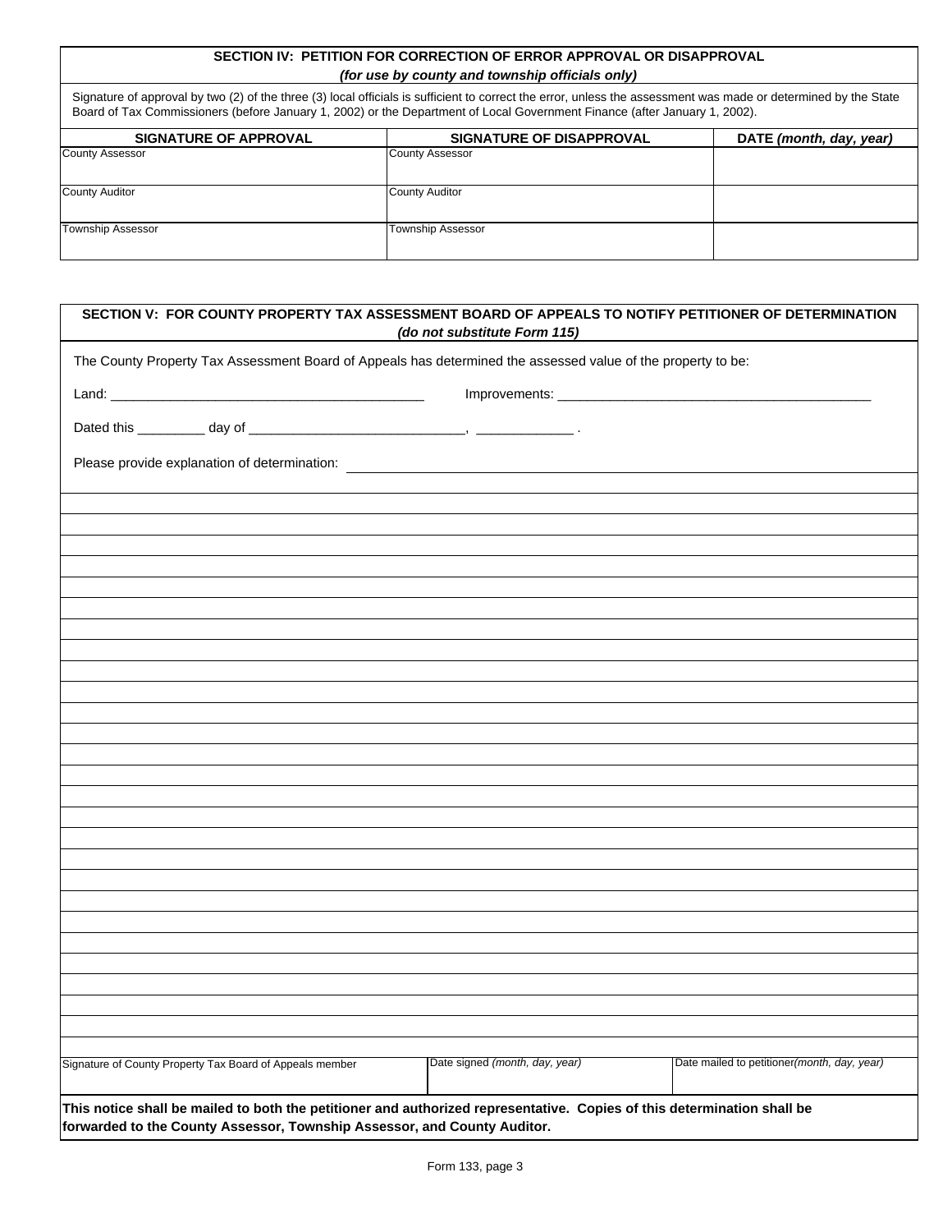# **SECTION IV: PETITION FOR CORRECTION OF ERROR APPROVAL OR DISAPPROVAL** *(for use by county and township officials only)*

 Signature of approval by two (2) of the three (3) local officials is sufficient to correct the error, unless the assessment was made or determined by the State Board of Tax Commissioners (before January 1, 2002) or the Department of Local Government Finance (after January 1, 2002).

| <b>SIGNATURE OF APPROVAL</b> | SIGNATURE OF DISAPPROVAL | DATE (month, day, year) |
|------------------------------|--------------------------|-------------------------|
| <b>County Assessor</b>       | <b>County Assessor</b>   |                         |
|                              |                          |                         |
| <b>County Auditor</b>        | <b>County Auditor</b>    |                         |
|                              |                          |                         |
| <b>Township Assessor</b>     | <b>Township Assessor</b> |                         |
|                              |                          |                         |

| SECTION V: FOR COUNTY PROPERTY TAX ASSESSMENT BOARD OF APPEALS TO NOTIFY PETITIONER OF DETERMINATION<br>(do not substitute Form 115)                                                                |                                |                                              |  |
|-----------------------------------------------------------------------------------------------------------------------------------------------------------------------------------------------------|--------------------------------|----------------------------------------------|--|
| The County Property Tax Assessment Board of Appeals has determined the assessed value of the property to be:                                                                                        |                                |                                              |  |
|                                                                                                                                                                                                     |                                |                                              |  |
|                                                                                                                                                                                                     |                                |                                              |  |
| Please provide explanation of determination: ___________________________________                                                                                                                    |                                |                                              |  |
|                                                                                                                                                                                                     |                                |                                              |  |
|                                                                                                                                                                                                     |                                |                                              |  |
|                                                                                                                                                                                                     |                                |                                              |  |
|                                                                                                                                                                                                     |                                |                                              |  |
|                                                                                                                                                                                                     |                                |                                              |  |
|                                                                                                                                                                                                     |                                |                                              |  |
|                                                                                                                                                                                                     |                                |                                              |  |
|                                                                                                                                                                                                     |                                |                                              |  |
|                                                                                                                                                                                                     |                                |                                              |  |
|                                                                                                                                                                                                     |                                |                                              |  |
|                                                                                                                                                                                                     |                                |                                              |  |
|                                                                                                                                                                                                     |                                |                                              |  |
|                                                                                                                                                                                                     |                                |                                              |  |
|                                                                                                                                                                                                     |                                |                                              |  |
|                                                                                                                                                                                                     |                                |                                              |  |
|                                                                                                                                                                                                     |                                |                                              |  |
|                                                                                                                                                                                                     |                                |                                              |  |
| Signature of County Property Tax Board of Appeals member                                                                                                                                            | Date signed (month, day, year) | Date mailed to petitioner (month, day, year) |  |
| This notice shall be mailed to both the petitioner and authorized representative. Copies of this determination shall be<br>forwarded to the County Assessor, Township Assessor, and County Auditor. |                                |                                              |  |